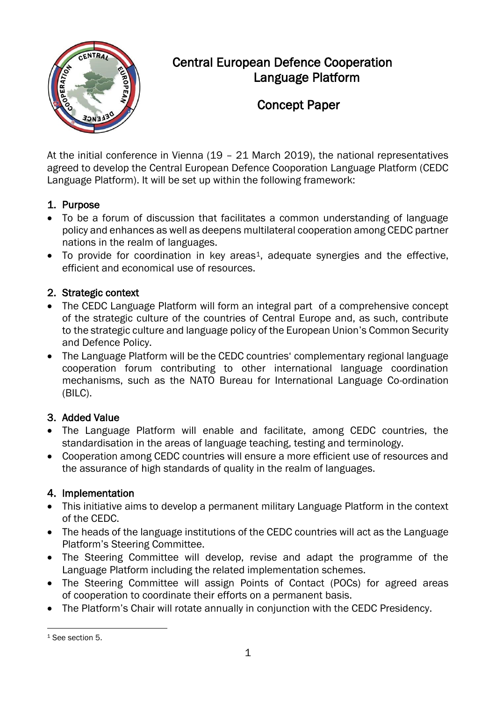

# Central European Defence Cooperation Language Platform

# Concept Paper

At the initial conference in Vienna (19 – 21 March 2019), the national representatives agreed to develop the Central European Defence Cooporation Language Platform (CEDC Language Platform). It will be set up within the following framework:

#### 1. Purpose

- To be a forum of discussion that facilitates a common understanding of language policy and enhances as well as deepens multilateral cooperation among CEDC partner nations in the realm of languages.
- To provide for coordination in key areas<sup>1</sup>, adequate synergies and the effective, efficient and economical use of resources.

#### 2. Strategic context

- The CEDC Language Platform will form an integral part of a comprehensive concept of the strategic culture of the countries of Central Europe and, as such, contribute to the strategic culture and language policy of the European Union's Common Security and Defence Policy.
- The Language Platform will be the CEDC countries' complementary regional language cooperation forum contributing to other international language coordination mechanisms, such as the NATO Bureau for International Language Co-ordination (BILC).

### 3. Added Value

- The Language Platform will enable and facilitate, among CEDC countries, the standardisation in the areas of language teaching, testing and terminology.
- Cooperation among CEDC countries will ensure a more efficient use of resources and the assurance of high standards of quality in the realm of languages.

### 4. Implementation

- This initiative aims to develop a permanent military Language Platform in the context of the CEDC.
- The heads of the language institutions of the CEDC countries will act as the Language Platform's Steering Committee.
- The Steering Committee will develop, revise and adapt the programme of the Language Platform including the related implementation schemes.
- The Steering Committee will assign Points of Contact (POCs) for agreed areas of cooperation to coordinate their efforts on a permanent basis.
- The Platform's Chair will rotate annually in conjunction with the CEDC Presidency.

 $\overline{a}$ <sup>1</sup> See section 5.